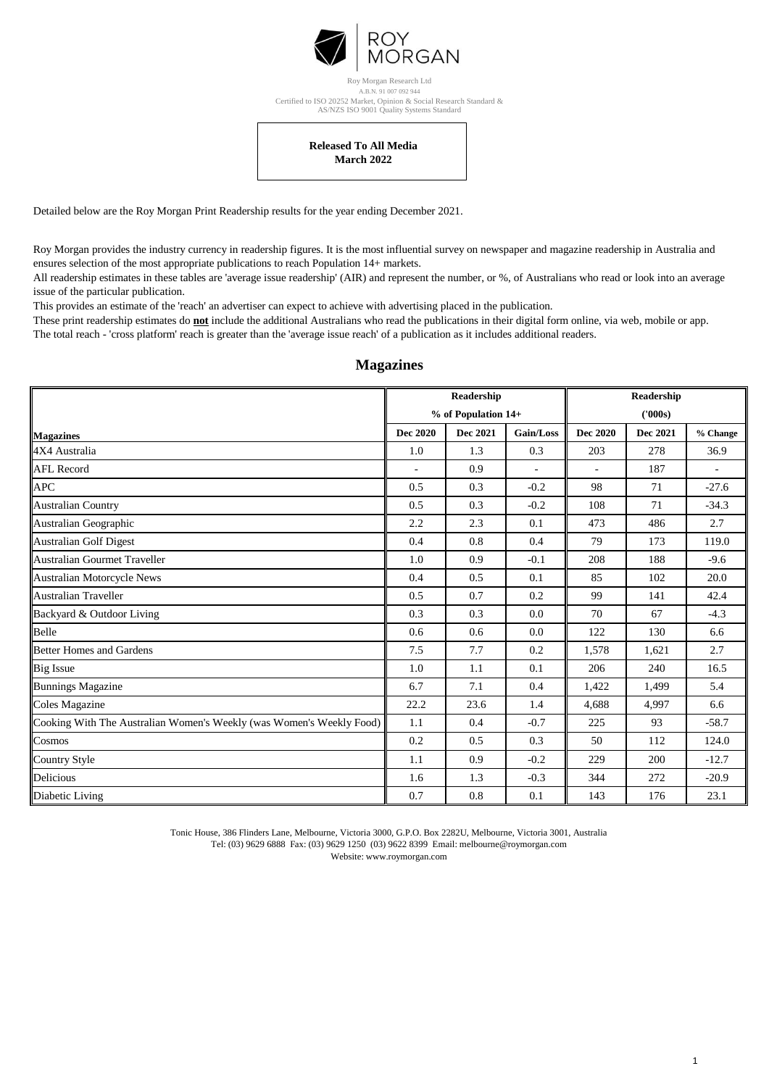

AS/NZS ISO 9001 Quality Systems Standard A.B.N. 91 007 092 944 Roy Morgan Research Ltd Certified to ISO 20252 Market, Opinion & Social Research Standard &

## **March 2022 Released To All Media**

Detailed below are the Roy Morgan Print Readership results for the year ending December 2021.

Roy Morgan provides the industry currency in readership figures. It is the most influential survey on newspaper and magazine readership in Australia and ensures selection of the most appropriate publications to reach Population 14+ markets.

All readership estimates in these tables are 'average issue readership' (AIR) and represent the number, or %, of Australians who read or look into an average issue of the particular publication.

This provides an estimate of the 'reach' an advertiser can expect to achieve with advertising placed in the publication.

These print readership estimates do **not** include the additional Australians who read the publications in their digital form online, via web, mobile or app. The total reach - 'cross platform' reach is greater than the 'average issue reach' of a publication as it includes additional readers.

|                                                                      | <b>Readership</b><br>% of Population 14+ |          |                          | <b>Readership</b><br>('000s) |          |          |  |
|----------------------------------------------------------------------|------------------------------------------|----------|--------------------------|------------------------------|----------|----------|--|
|                                                                      |                                          |          |                          |                              |          |          |  |
| <b>Magazines</b>                                                     | <b>Dec 2020</b>                          | Dec 2021 | Gain/Loss                | <b>Dec 2020</b>              | Dec 2021 | % Change |  |
| 4X4 Australia                                                        | 1.0                                      | 1.3      | 0.3                      | 203                          | 278      | 36.9     |  |
| <b>AFL Record</b>                                                    | $\blacksquare$                           | 0.9      | $\overline{\phantom{a}}$ | ÷.                           | 187      |          |  |
| <b>APC</b>                                                           | 0.5                                      | 0.3      | $-0.2$                   | 98                           | 71       | $-27.6$  |  |
| <b>Australian Country</b>                                            | 0.5                                      | 0.3      | $-0.2$                   | 108                          | 71       | $-34.3$  |  |
| Australian Geographic                                                | 2.2                                      | 2.3      | 0.1                      | 473                          | 486      | 2.7      |  |
| <b>Australian Golf Digest</b>                                        | 0.4                                      | 0.8      | 0.4                      | 79                           | 173      | 119.0    |  |
| Australian Gourmet Traveller                                         | 1.0                                      | 0.9      | $-0.1$                   | 208                          | 188      | $-9.6$   |  |
| Australian Motorcycle News                                           | 0.4                                      | 0.5      | 0.1                      | 85                           | 102      | 20.0     |  |
| Australian Traveller                                                 | 0.5                                      | 0.7      | 0.2                      | 99                           | 141      | 42.4     |  |
| Backyard & Outdoor Living                                            | 0.3                                      | 0.3      | 0.0                      | 70                           | 67       | $-4.3$   |  |
| Belle                                                                | 0.6                                      | 0.6      | 0.0                      | 122                          | 130      | 6.6      |  |
| <b>Better Homes and Gardens</b>                                      | 7.5                                      | 7.7      | 0.2                      | 1,578                        | 1,621    | 2.7      |  |
| <b>Big Issue</b>                                                     | 1.0                                      | 1.1      | 0.1                      | 206                          | 240      | 16.5     |  |
| <b>Bunnings Magazine</b>                                             | 6.7                                      | 7.1      | 0.4                      | 1,422                        | 1,499    | 5.4      |  |
| Coles Magazine                                                       | 22.2                                     | 23.6     | 1.4                      | 4,688                        | 4,997    | 6.6      |  |
| Cooking With The Australian Women's Weekly (was Women's Weekly Food) | 1.1                                      | 0.4      | $-0.7$                   | 225                          | 93       | $-58.7$  |  |
| Cosmos                                                               | 0.2                                      | 0.5      | 0.3                      | 50                           | 112      | 124.0    |  |
| <b>Country Style</b>                                                 | 1.1                                      | 0.9      | $-0.2$                   | 229                          | 200      | $-12.7$  |  |
| <b>Delicious</b>                                                     | 1.6                                      | 1.3      | $-0.3$                   | 344                          | 272      | $-20.9$  |  |
| Diabetic Living                                                      | 0.7                                      | 0.8      | 0.1                      | 143                          | 176      | 23.1     |  |

## **Magazines**

Tonic House, 386 Flinders Lane, Melbourne, Victoria 3000, G.P.O. Box 2282U, Melbourne, Victoria 3001, Australia Tel: (03) 9629 6888 Fax: (03) 9629 1250 (03) 9622 8399 Email: melbourne@roymorgan.com Website: www.roymorgan.com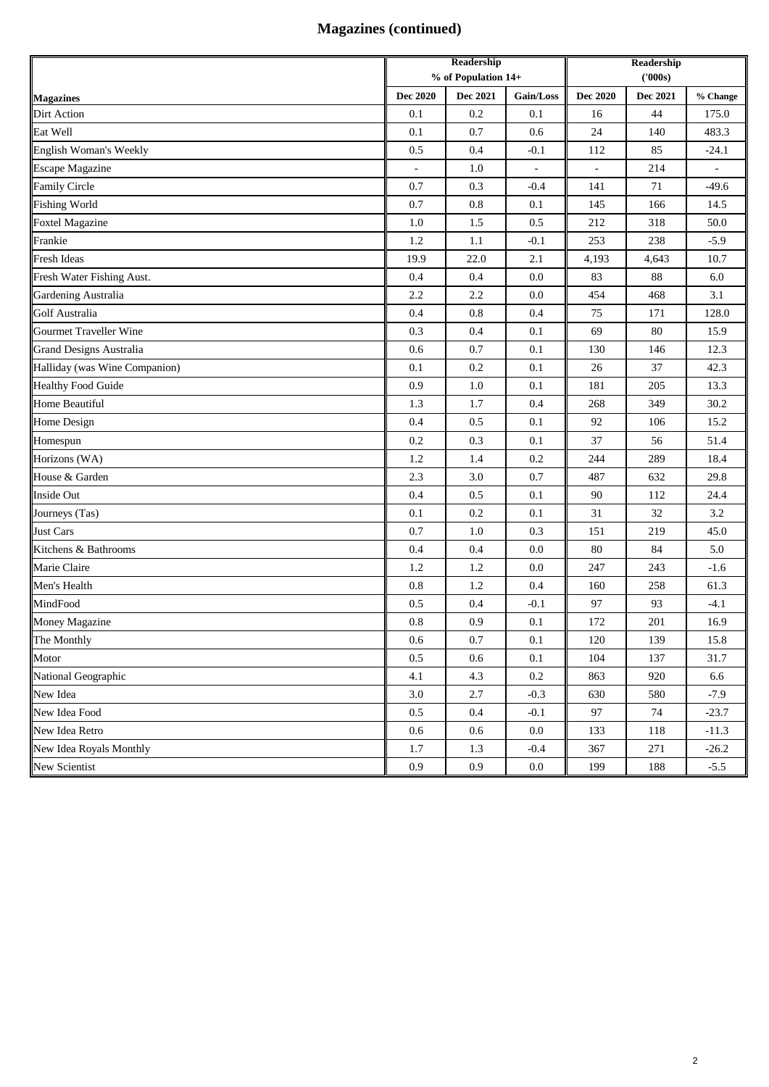## **Magazines (continued)**

|                               | Readership<br>% of Population 14+ |          |           | Readership |          |             |
|-------------------------------|-----------------------------------|----------|-----------|------------|----------|-------------|
|                               |                                   |          |           | (000s)     |          |             |
| <b>Magazines</b>              | Dec 2020                          | Dec 2021 | Gain/Loss | Dec 2020   | Dec 2021 | $\%$ Change |
| Dirt Action                   | 0.1                               | 0.2      | 0.1       | 16         | 44       | 175.0       |
| Eat Well                      | 0.1                               | 0.7      | 0.6       | 24         | 140      | 483.3       |
| English Woman's Weekly        | 0.5                               | 0.4      | $-0.1$    | 112        | 85       | $-24.1$     |
| <b>Escape Magazine</b>        | $\overline{\phantom{a}}$          | 1.0      | ÷,        | ÷,         | 214      |             |
| <b>Family Circle</b>          | 0.7                               | 0.3      | $-0.4$    | 141        | 71       | $-49.6$     |
| <b>Fishing World</b>          | 0.7                               | 0.8      | 0.1       | 145        | 166      | 14.5        |
| <b>Foxtel Magazine</b>        | 1.0                               | 1.5      | 0.5       | 212        | 318      | 50.0        |
| Frankie                       | 1.2                               | 1.1      | $-0.1$    | 253        | 238      | $-5.9$      |
| <b>Fresh Ideas</b>            | 19.9                              | 22.0     | 2.1       | 4,193      | 4,643    | 10.7        |
| Fresh Water Fishing Aust.     | 0.4                               | 0.4      | 0.0       | 83         | 88       | 6.0         |
| <b>Gardening Australia</b>    | 2.2                               | 2.2      | 0.0       | 454        | 468      | 3.1         |
| <b>Golf Australia</b>         | 0.4                               | 0.8      | 0.4       | 75         | 171      | 128.0       |
| Gourmet Traveller Wine        | 0.3                               | 0.4      | 0.1       | 69         | 80       | 15.9        |
| Grand Designs Australia       | 0.6                               | 0.7      | 0.1       | 130        | 146      | 12.3        |
| Halliday (was Wine Companion) | 0.1                               | 0.2      | 0.1       | 26         | 37       | 42.3        |
| <b>Healthy Food Guide</b>     | 0.9                               | 1.0      | 0.1       | 181        | 205      | 13.3        |
| Home Beautiful                | 1.3                               | 1.7      | 0.4       | 268        | 349      | 30.2        |
| Home Design                   | 0.4                               | 0.5      | 0.1       | 92         | 106      | 15.2        |
| Homespun                      | 0.2                               | 0.3      | 0.1       | 37         | 56       | 51.4        |
| Horizons (WA)                 | 1.2                               | 1.4      | 0.2       | 244        | 289      | 18.4        |
| House & Garden                | 2.3                               | 3.0      | 0.7       | 487        | 632      | 29.8        |
| Inside Out                    | 0.4                               | 0.5      | 0.1       | 90         | 112      | 24.4        |
| Journeys (Tas)                | 0.1                               | 0.2      | 0.1       | 31         | 32       | 3.2         |
| <b>Just Cars</b>              | 0.7                               | 1.0      | 0.3       | 151        | 219      | 45.0        |
| Kitchens & Bathrooms          | 0.4                               | 0.4      | 0.0       | 80         | 84       | 5.0         |
| Marie Claire                  | 1.2                               | 1.2      | 0.0       | 247        | 243      | $-1.6$      |
| Men's Health                  | 0.8                               | 1.2      | 0.4       | 160        | 258      | 61.3        |
| MindFood                      | 0.5                               | 0.4      | $-0.1$    | 97         | 93       | $-4.1$      |
| Money Magazine                | 0.8                               | 0.9      | 0.1       | 172        | 201      | 16.9        |
| The Monthly                   | 0.6                               | 0.7      | 0.1       | 120        | 139      | 15.8        |
| Motor                         | 0.5                               | 0.6      | 0.1       | 104        | 137      | 31.7        |
| National Geographic           | 4.1                               | 4.3      | $0.2\,$   | 863        | 920      | 6.6         |
| New Idea                      | $3.0\,$                           | 2.7      | $-0.3$    | 630        | 580      | $-7.9$      |
| New Idea Food                 | 0.5                               | 0.4      | $-0.1$    | 97         | 74       | $-23.7$     |
| New Idea Retro                | 0.6                               | 0.6      | 0.0       | 133        | 118      | $-11.3$     |
| New Idea Royals Monthly       | 1.7                               | 1.3      | $-0.4$    | 367        | 271      | $-26.2$     |
| New Scientist                 | 0.9                               | 0.9      | $0.0\,$   | 199        | 188      | $-5.5$      |